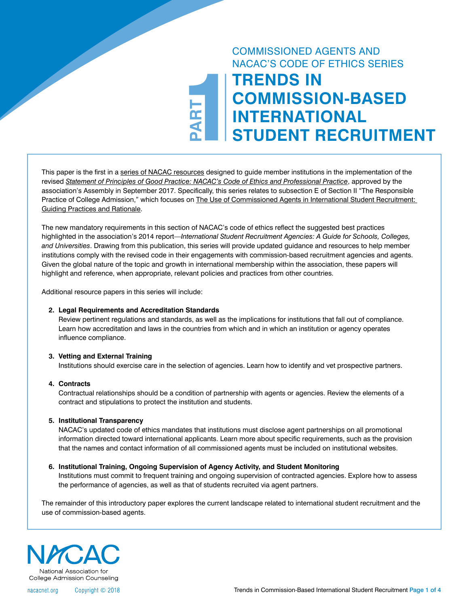# COMMISSIONED AGENTS AND NACAC'S CODE OF ETHICS SERIES

# **124RT TRENDS IN COMMISSION-BASED INTERNATIONAL STUDENT RECRUITMENT**

This paper is the first in a [series of NACAC resources](https://www.nacacnet.org/knowledge-center/international/Commisioned_agent_series/) designed to guide member institutions in the implementation of the revised *[Statement of Principles of Good Practice: NACAC's Code of Ethics and Professional Practice](https://www.nacacnet.org/globalassets/documents/advocacy-and-ethics/statement-of-principles-of-good-practice/2017_spgp_final.pdf)*, approved by the association's Assembly in September 2017. Specifically, this series relates to subsection E of Section II "The Responsible Practice of College Admission," which focuses on [The Use of Commissioned Agents in International Student Recruitment:](https://www.nacacnet.org/globalassets/documents/advocacy-and-ethics/statement-of-principles-of-good-practice/2017_spgp_final.pdf)  [Guiding Practices and Rationale.](https://www.nacacnet.org/globalassets/documents/advocacy-and-ethics/statement-of-principles-of-good-practice/2017_spgp_final.pdf)

**PART**

The new mandatory requirements in this section of NACAC's code of ethics reflect the suggested best practices highlighted in the association's 2014 report—*International Student Recruitment Agencies: A Guide for Schools, Colleges, and Universities*. Drawing from this publication, this series will provide updated guidance and resources to help member institutions comply with the revised code in their engagements with commission-based recruitment agencies and agents. Given the global nature of the topic and growth in international membership within the association, these papers will highlight and reference, when appropriate, relevant policies and practices from other countries.

Additional resource papers in this series will include:

#### **2. Legal Requirements and Accreditation Standards**

Review pertinent regulations and standards, as well as the implications for institutions that fall out of compliance. Learn how accreditation and laws in the countries from which and in which an institution or agency operates influence compliance.

#### **3. Vetting and External Training**

Institutions should exercise care in the selection of agencies. Learn how to identify and vet prospective partners.

#### **4. Contracts**

Contractual relationships should be a condition of partnership with agents or agencies. Review the elements of a contract and stipulations to protect the institution and students.

#### **5. Institutional Transparency**

NACAC's updated code of ethics mandates that institutions must disclose agent partnerships on all promotional information directed toward international applicants. Learn more about specific requirements, such as the provision that the names and contact information of all commissioned agents must be included on institutional websites.

#### **6. Institutional Training, Ongoing Supervision of Agency Activity, and Student Monitoring**

Institutions must commit to frequent training and ongoing supervision of contracted agencies. Explore how to assess the performance of agencies, as well as that of students recruited via agent partners.

The remainder of this introductory paper explores the current landscape related to international student recruitment and the use of commission-based agents.



nacacnet.org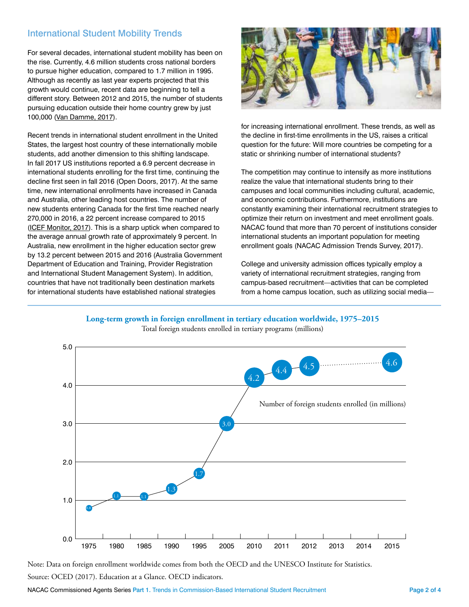# International Student Mobility Trends

For several decades, international student mobility has been on the rise. Currently, 4.6 million students cross national borders to pursue higher education, compared to 1.7 million in 1995. Although as recently as last year experts projected that this growth would continue, recent data are beginning to tell a different story. Between 2012 and 2015, the number of students pursuing education outside their home country grew by just 100,000 ([Van Damme, 2017](http://oecdeducationtoday.blogspot.com/2017/11/is-growth-of-international-student.html)).

Recent trends in international student enrollment in the United States, the largest host country of these internationally mobile students, add another dimension to this shifting landscape. In fall 2017 US institutions reported a 6.9 percent decrease in international students enrolling for the first time, continuing the decline first seen in fall 2016 (Open Doors, 2017). At the same time, new international enrollments have increased in Canada and Australia, other leading host countries. The number of new students entering Canada for the first time reached nearly 270,000 in 2016, a 22 percent increase compared to 2015 [\(ICEF Monitor, 2017\)](http://monitor.icef.com/2017/11/canadas-international-student-enrolment-surged-2016/). This is a sharp uptick when compared to the average annual growth rate of approximately 9 percent. In Australia, new enrollment in the higher education sector grew by 13.2 percent between 2015 and 2016 (Australia Government Department of Education and Training, Provider Registration and International Student Management System). In addition, countries that have not traditionally been destination markets for international students have established national strategies



for increasing international enrollment. These trends, as well as the decline in first-time enrollments in the US, raises a critical question for the future: Will more countries be competing for a static or shrinking number of international students?

The competition may continue to intensify as more institutions realize the value that international students bring to their campuses and local communities including cultural, academic, and economic contributions. Furthermore, institutions are constantly examining their international recruitment strategies to optimize their return on investment and meet enrollment goals. NACAC found that more than 70 percent of institutions consider international students an important population for meeting enrollment goals (NACAC Admission Trends Survey, 2017).

College and university admission offices typically employ a variety of international recruitment strategies, ranging from campus-based recruitment—activities that can be completed from a home campus location, such as utilizing social media—





Note: Data on foreign enrollment worldwide comes from both the OECD and the UNESCO Institute for Statistics. Source: OCED (2017). Education at a Glance. OECD indicators.

NACAC Commissioned Agents Series Part 1. Trends in Commission-Based International Student Recruitment Page 2 of 4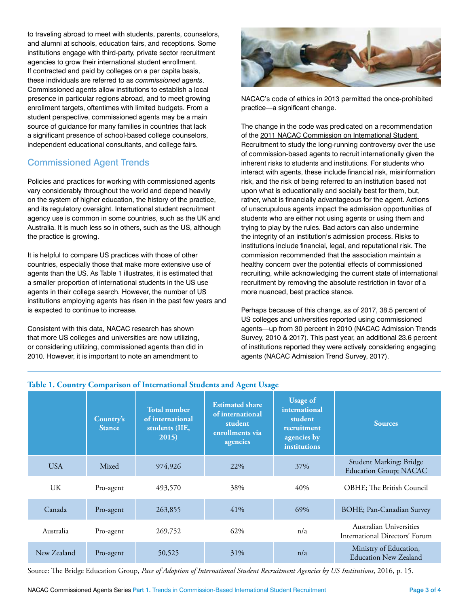to traveling abroad to meet with students, parents, counselors, and alumni at schools, education fairs, and receptions. Some institutions engage with third-party, private sector recruitment agencies to grow their international student enrollment. If contracted and paid by colleges on a per capita basis, these individuals are referred to as *commissioned agents*. Commissioned agents allow institutions to establish a local presence in particular regions abroad, and to meet growing enrollment targets, oftentimes with limited budgets. From a student perspective, commissioned agents may be a main source of guidance for many families in countries that lack a significant presence of school-based college counselors, independent educational consultants, and college fairs.

## Commissioned Agent Trends

Policies and practices for working with commissioned agents vary considerably throughout the world and depend heavily on the system of higher education, the history of the practice, and its regulatory oversight. International student recruitment agency use is common in some countries, such as the UK and Australia. It is much less so in others, such as the US, although the practice is growing.

It is helpful to compare US practices with those of other countries, especially those that make more extensive use of agents than the US. As Table 1 illustrates, it is estimated that a smaller proportion of international students in the US use agents in their college search. However, the number of US institutions employing agents has risen in the past few years and is expected to continue to increase.

Consistent with this data, NACAC research has shown that more US colleges and universities are now utilizing, or considering utilizing, commissioned agents than did in 2010. However, it is important to note an amendment to



NACAC's code of ethics in 2013 permitted the once-prohibited practice—a significant change.

The change in the code was predicated on a recommendation of the [2011 NACAC Commission on International Student](https://www.nacacnet.org/globalassets/documents/publications/international-initiatives/reportcommissioninternationalstudentrecuitment.pdf)  [Recruitment](https://www.nacacnet.org/globalassets/documents/publications/international-initiatives/reportcommissioninternationalstudentrecuitment.pdf) to study the long-running controversy over the use of commission-based agents to recruit internationally given the inherent risks to students and institutions. For students who interact with agents, these include financial risk, misinformation risk, and the risk of being referred to an institution based not upon what is educationally and socially best for them, but, rather, what is financially advantageous for the agent. Actions of unscrupulous agents impact the admission opportunities of students who are either not using agents or using them and trying to play by the rules. Bad actors can also undermine the integrity of an institution's admission process. Risks to institutions include financial, legal, and reputational risk. The commission recommended that the association maintain a healthy concern over the potential effects of commissioned recruiting, while acknowledging the current state of international recruitment by removing the absolute restriction in favor of a more nuanced, best practice stance.

Perhaps because of this change, as of 2017, 38.5 percent of US colleges and universities reported using commissioned agents—up from 30 percent in 2010 (NACAC Admission Trends Survey, 2010 & 2017). This past year, an additional 23.6 percent of institutions reported they were actively considering engaging agents (NACAC Admission Trend Survey, 2017).

|             | Country's<br><b>Stance</b> | <b>Total number</b><br>of international<br>students (IIE,<br>2015) | <b>Estimated share</b><br>of international<br>student<br>enrollments via<br>agencies | <b>Usage of</b><br>international<br>student<br>recruitment<br>agencies by<br>institutions | <b>Sources</b>                                            |
|-------------|----------------------------|--------------------------------------------------------------------|--------------------------------------------------------------------------------------|-------------------------------------------------------------------------------------------|-----------------------------------------------------------|
| <b>USA</b>  | Mixed                      | 974,926                                                            | 22%                                                                                  | 37%                                                                                       | Student Marking: Bridge<br><b>Education Group; NACAC</b>  |
| UK.         | Pro-agent                  | 493,570                                                            | 38%                                                                                  | 40%                                                                                       | OBHE; The British Council                                 |
| Canada      | Pro-agent                  | 263,855                                                            | 41%                                                                                  | 69%                                                                                       | BOHE; Pan-Canadian Survey                                 |
| Australia   | Pro-agent                  | 269,752                                                            | 62%                                                                                  | n/a                                                                                       | Australian Universities<br>International Directors' Forum |
| New Zealand | Pro-agent                  | 50,525                                                             | 31%                                                                                  | n/a                                                                                       | Ministry of Education,<br><b>Education New Zealand</b>    |

#### **Table 1. Country Comparison of International Students and Agent Usage**

Source: The Bridge Education Group, *Pace of Adoption of International Student Recruitment Agencies by US Institutions*, 2016, p. 15.